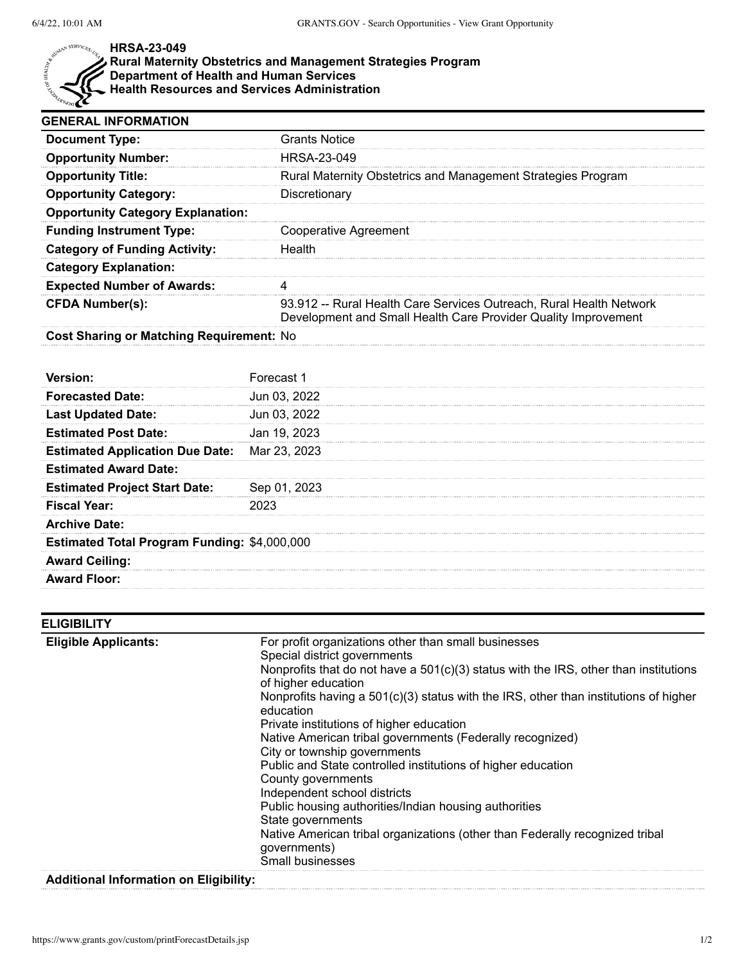

### **HRSA-23-049**

#### **Rural Maternity Obstetrics and Management Strategies Program**

**Department of Health and Human Services**

**Health Resources and Services Administration**

| <b>GENERAL INFORMATION</b>                   |                                                                                                                                       |
|----------------------------------------------|---------------------------------------------------------------------------------------------------------------------------------------|
| <b>Document Type:</b>                        | <b>Grants Notice</b>                                                                                                                  |
| <b>Opportunity Number:</b>                   | HRSA-23-049                                                                                                                           |
| <b>Opportunity Title:</b>                    | Rural Maternity Obstetrics and Management Strategies Program                                                                          |
| <b>Opportunity Category:</b>                 | Discretionary                                                                                                                         |
| <b>Opportunity Category Explanation:</b>     |                                                                                                                                       |
| <b>Funding Instrument Type:</b>              | <b>Cooperative Agreement</b>                                                                                                          |
| <b>Category of Funding Activity:</b>         | Health                                                                                                                                |
| <b>Category Explanation:</b>                 |                                                                                                                                       |
| <b>Expected Number of Awards:</b>            | 4                                                                                                                                     |
| <b>CFDA Number(s):</b>                       | 93.912 -- Rural Health Care Services Outreach, Rural Health Network<br>Development and Small Health Care Provider Quality Improvement |
| Cost Sharing or Matching Requirement: No     |                                                                                                                                       |
|                                              |                                                                                                                                       |
| Version:                                     | Forecast 1                                                                                                                            |
| <b>Forecasted Date:</b>                      | Jun 03, 2022                                                                                                                          |
| <b>Last Updated Date:</b>                    | Jun 03, 2022                                                                                                                          |
| <b>Estimated Post Date:</b>                  | Jan 19, 2023                                                                                                                          |
| <b>Estimated Application Due Date:</b>       | Mar 23, 2023                                                                                                                          |
| <b>Estimated Award Date:</b>                 |                                                                                                                                       |
| <b>Estimated Project Start Date:</b>         | Sep 01, 2023                                                                                                                          |
| <b>Fiscal Year:</b>                          | 2023                                                                                                                                  |
| <b>Archive Date:</b>                         |                                                                                                                                       |
| Estimated Total Program Funding: \$4,000,000 |                                                                                                                                       |
| <b>Award Ceiling:</b>                        |                                                                                                                                       |
| <b>Award Floor:</b>                          |                                                                                                                                       |
|                                              |                                                                                                                                       |

| ELIGIBILITY                 |                                                                                                                                                                                                                                                                                                                                                                                                                                                                                                                                                                                                                                                                                                                                                                             |
|-----------------------------|-----------------------------------------------------------------------------------------------------------------------------------------------------------------------------------------------------------------------------------------------------------------------------------------------------------------------------------------------------------------------------------------------------------------------------------------------------------------------------------------------------------------------------------------------------------------------------------------------------------------------------------------------------------------------------------------------------------------------------------------------------------------------------|
| <b>Eligible Applicants:</b> | For profit organizations other than small businesses<br>Special district governments<br>Nonprofits that do not have a 501(c)(3) status with the IRS, other than institutions<br>of higher education<br>Nonprofits having a $501(c)(3)$ status with the IRS, other than institutions of higher<br>education<br>Private institutions of higher education<br>Native American tribal governments (Federally recognized)<br>City or township governments<br>Public and State controlled institutions of higher education<br>County governments<br>Independent school districts<br>Public housing authorities/Indian housing authorities<br>State governments<br>Native American tribal organizations (other than Federally recognized tribal<br>governments)<br>Small businesses |
|                             |                                                                                                                                                                                                                                                                                                                                                                                                                                                                                                                                                                                                                                                                                                                                                                             |

# **Additional Information on Eligibility:**